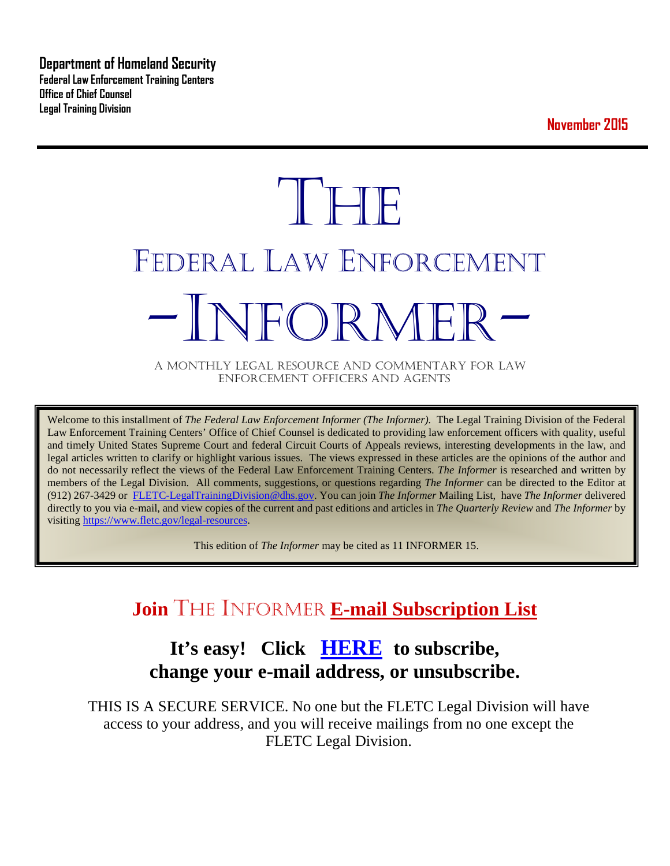**Department of Homeland Security Federal Law Enforcement Training Centers Office of Chief Counsel Legal Training Division** 

**November 2015**

# **THE** FEDERAL LAW ENFORCEMENT -INFORMER- A MONTHLY LEGAL RESOURCE AND COMMENTARY FOR LAW

ENFORCEMENT OFFICERS AND AGENTS

Welcome to this installment of *The Federal Law Enforcement Informer (The Informer).* The Legal Training Division of the Federal Law Enforcement Training Centers' Office of Chief Counsel is dedicated to providing law enforcement officers with quality, useful and timely United States Supreme Court and federal Circuit Courts of Appeals reviews, interesting developments in the law, and legal articles written to clarify or highlight various issues. The views expressed in these articles are the opinions of the author and do not necessarily reflect the views of the Federal Law Enforcement Training Centers. *The Informer* is researched and written by members of the Legal Division. All comments, suggestions, or questions regarding *The Informer* can be directed to the Editor at (912) 267-3429 or [FLETC-LegalTrainingDivision@dhs.gov.](mailto:FLETC-LegalTrainingDivision@dhs.gov) You can join *The Informer* Mailing List, have *The Informer* delivered directly to you via e-mail, and view copies of the current and past editions and articles in *The Quarterly Review* and *The Informer* by visiting [https://www.fletc.gov/legal-resources.](https://www.fletc.gov/legal-resources) 

This edition of *The Informer* may be cited as 11 INFORMER 15.

# **Join** THE INFORMER **E-mail Subscription List**

# **It's easy! Click [HERE](http://peach.ease.lsoft.com/scripts/wa.exe?SUBED1=fletclgd&A=1) to subscribe, change your e-mail address, or unsubscribe.**

THIS IS A SECURE SERVICE. No one but the FLETC Legal Division will have access to your address, and you will receive mailings from no one except the FLETC Legal Division.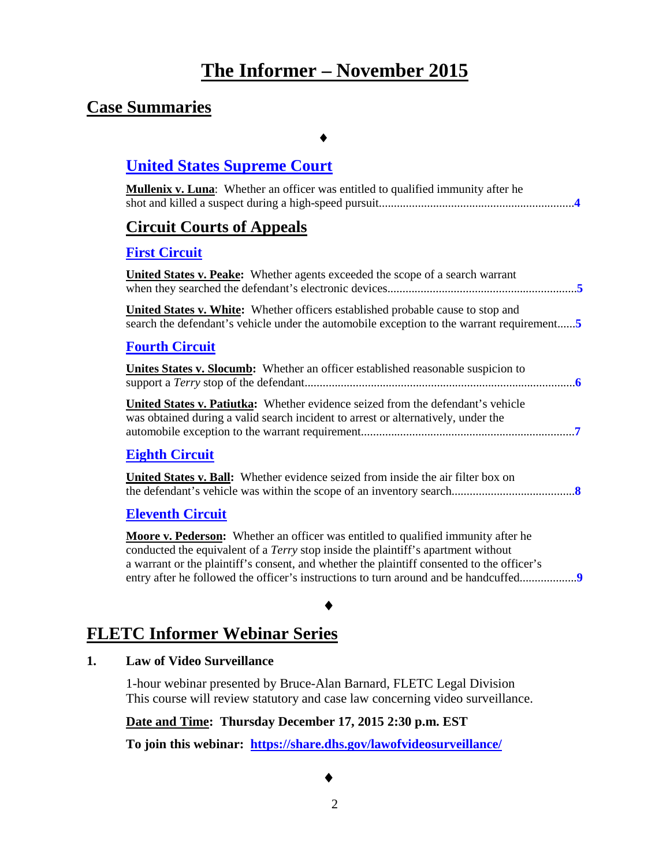# **The Informer – November 2015**

### **Case Summaries**

### ♦

### **[United States Supreme Court](#page-3-0)**

| <b>Mullenix v. Luna:</b> Whether an officer was entitled to qualified immunity after he |
|-----------------------------------------------------------------------------------------|
| <b>Circuit Courts of Appeals</b>                                                        |
| <b>First Circuit</b>                                                                    |
| <b>United States v. Peake:</b> Whether agents exceeded the scope of a search warrant    |
| <b>United States v. White:</b> Whether officers established probable cause to stop and  |
| <b>Fourth Circuit</b>                                                                   |
| <b>Unites States v. Slocumb:</b> Whether an officer established reasonable suspicion to |

**United States v. Patiutka:** Whether evidence seized from the defendant's vehicle was obtained during a valid search incident to arrest or alternatively, under the automobile exception to the warrant requirement.......................................................................**[7](#page-6-0)**

### **Eighth [Circuit](#page-7-0)**

**United States v. Ball:** Whether evidence seized from inside the air filter box on the defendant's vehicle was within the scope of an inventory search.........................................**[8](#page-7-1)**

### **[Eleventh Circuit](#page-8-0)**

**Moore v. Pederson:** Whether an officer was entitled to qualified immunity after he conducted the equivalent of a *Terry* stop inside the plaintiff's apartment without a warrant or the plaintiff's consent, and whether the plaintiff consented to the officer's entry after he followed the officer's instructions to turn around and be handcuffed.............................

### ♦

### **FLETC Informer Webinar Series**

#### **1. Law of Video Surveillance**

1-hour webinar presented by Bruce-Alan Barnard, FLETC Legal Division This course will review statutory and case law concerning video surveillance.

#### **Date and Time: Thursday December 17, 2015 2:30 p.m. EST**

**To join this webinar: <https://share.dhs.gov/lawofvideosurveillance/>**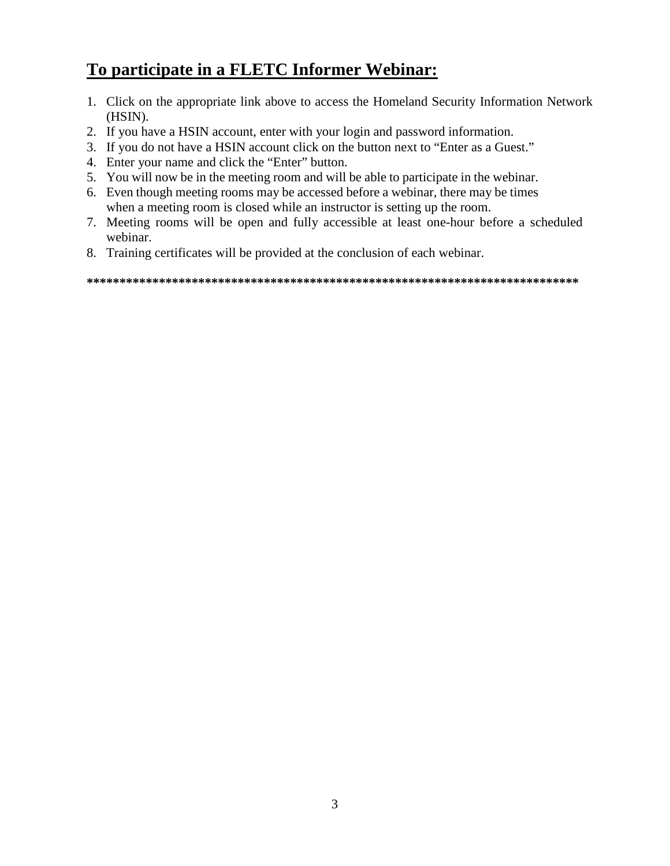# **To participate in a FLETC Informer Webinar:**

- 1. Click on the appropriate link above to access the Homeland Security Information Network (HSIN).
- 2. If you have a HSIN account, enter with your login and password information.
- 3. If you do not have a HSIN account click on the button next to "Enter as a Guest."
- 4. Enter your name and click the "Enter" button.
- 5. You will now be in the meeting room and will be able to participate in the webinar.
- 6. Even though meeting rooms may be accessed before a webinar, there may be times when a meeting room is closed while an instructor is setting up the room.
- 7. Meeting rooms will be open and fully accessible at least one-hour before a scheduled webinar.
- 8. Training certificates will be provided at the conclusion of each webinar.

**\*\*\*\*\*\*\*\*\*\*\*\*\*\*\*\*\*\*\*\*\*\*\*\*\*\*\*\*\*\*\*\*\*\*\*\*\*\*\*\*\*\*\*\*\*\*\*\*\*\*\*\*\*\*\*\*\*\*\*\*\*\*\*\*\*\*\*\*\*\*\*\*\*\*\***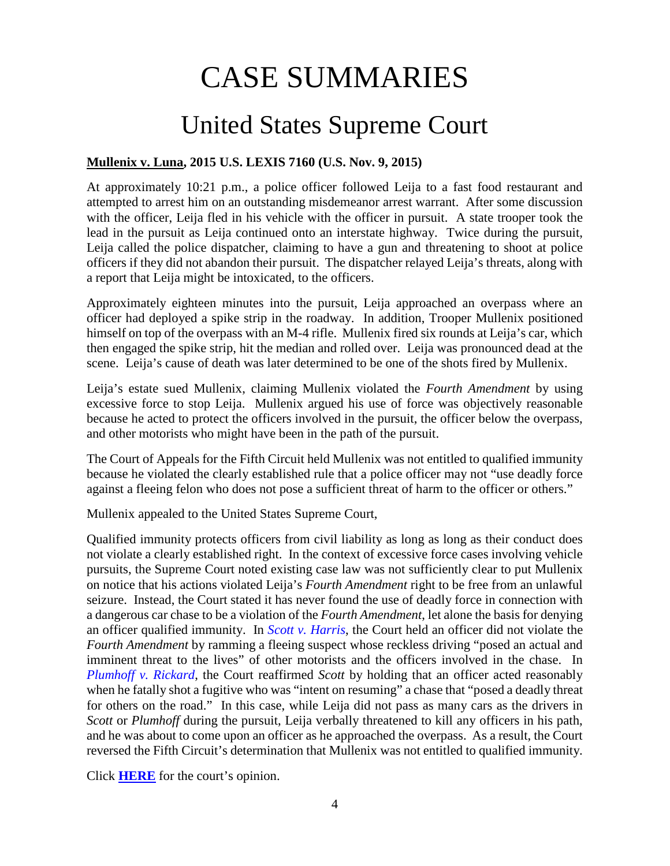# CASE SUMMARIES

# United States Supreme Court

### <span id="page-3-1"></span><span id="page-3-0"></span>**Mullenix v. Luna, 2015 U.S. LEXIS 7160 (U.S. Nov. 9, 2015)**

At approximately 10:21 p.m., a police officer followed Leija to a fast food restaurant and attempted to arrest him on an outstanding misdemeanor arrest warrant. After some discussion with the officer, Leija fled in his vehicle with the officer in pursuit. A state trooper took the lead in the pursuit as Leija continued onto an interstate highway. Twice during the pursuit, Leija called the police dispatcher, claiming to have a gun and threatening to shoot at police officers if they did not abandon their pursuit. The dispatcher relayed Leija's threats, along with a report that Leija might be intoxicated, to the officers.

Approximately eighteen minutes into the pursuit, Leija approached an overpass where an officer had deployed a spike strip in the roadway. In addition, Trooper Mullenix positioned himself on top of the overpass with an M-4 rifle. Mullenix fired six rounds at Leija's car, which then engaged the spike strip, hit the median and rolled over. Leija was pronounced dead at the scene. Leija's cause of death was later determined to be one of the shots fired by Mullenix.

Leija's estate sued Mullenix, claiming Mullenix violated the *Fourth Amendment* by using excessive force to stop Leija. Mullenix argued his use of force was objectively reasonable because he acted to protect the officers involved in the pursuit, the officer below the overpass, and other motorists who might have been in the path of the pursuit.

The Court of Appeals for the Fifth Circuit held Mullenix was not entitled to qualified immunity because he violated the clearly established rule that a police officer may not "use deadly force against a fleeing felon who does not pose a sufficient threat of harm to the officer or others."

Mullenix appealed to the United States Supreme Court,

Qualified immunity protects officers from civil liability as long as long as their conduct does not violate a clearly established right. In the context of excessive force cases involving vehicle pursuits, the Supreme Court noted existing case law was not sufficiently clear to put Mullenix on notice that his actions violated Leija's *Fourth Amendment* right to be free from an unlawful seizure. Instead, the Court stated it has never found the use of deadly force in connection with a dangerous car chase to be a violation of the *Fourth Amendment*, let alone the basis for denying an officer qualified immunity. In *[Scott v. Harris](http://www.supremecourt.gov/opinions/06pdf/05-1631.pdf)*, the Court held an officer did not violate the *Fourth Amendment* by ramming a fleeing suspect whose reckless driving "posed an actual and imminent threat to the lives" of other motorists and the officers involved in the chase. In *[Plumhoff v. Rickard](http://www.supremecourt.gov/opinions/13pdf/12-1117_1bn5.pdf)*, the Court reaffirmed *Scott* by holding that an officer acted reasonably when he fatally shot a fugitive who was "intent on resuming" a chase that "posed a deadly threat for others on the road." In this case, while Leija did not pass as many cars as the drivers in *Scott* or *Plumhoff* during the pursuit, Leija verbally threatened to kill any officers in his path, and he was about to come upon an officer as he approached the overpass. As a result, the Court reversed the Fifth Circuit's determination that Mullenix was not entitled to qualified immunity.

Click **[HERE](https://supreme.justia.com/cases/federal/us/577/14-1143/case.pdf)** for the court's opinion.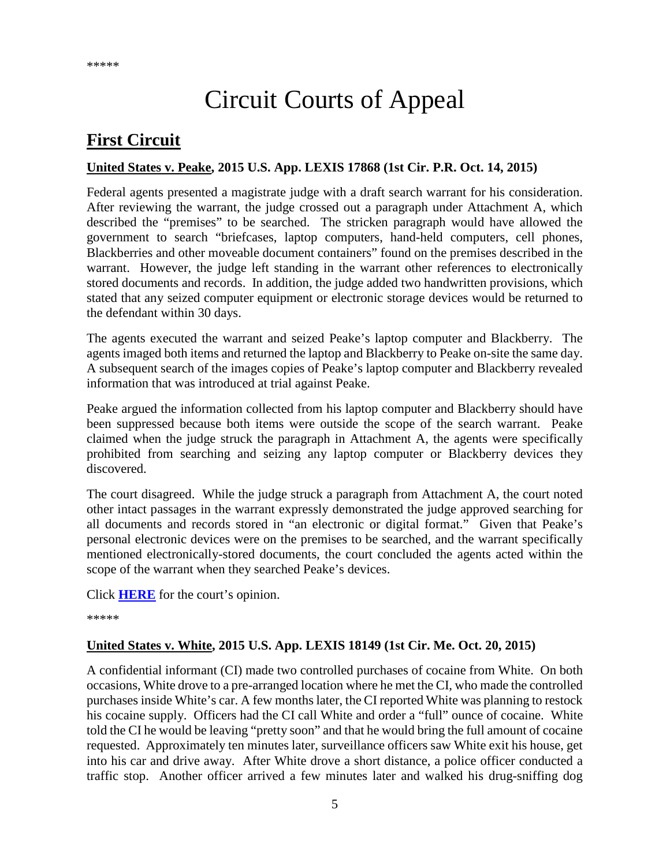# Circuit Courts of Appeal

# <span id="page-4-0"></span>**First Circuit**

### <span id="page-4-1"></span>**United States v. Peake, 2015 U.S. App. LEXIS 17868 (1st Cir. P.R. Oct. 14, 2015)**

Federal agents presented a magistrate judge with a draft search warrant for his consideration. After reviewing the warrant, the judge crossed out a paragraph under Attachment A, which described the "premises" to be searched. The stricken paragraph would have allowed the government to search "briefcases, laptop computers, hand-held computers, cell phones, Blackberries and other moveable document containers" found on the premises described in the warrant. However, the judge left standing in the warrant other references to electronically stored documents and records. In addition, the judge added two handwritten provisions, which stated that any seized computer equipment or electronic storage devices would be returned to the defendant within 30 days.

The agents executed the warrant and seized Peake's laptop computer and Blackberry. The agents imaged both items and returned the laptop and Blackberry to Peake on-site the same day. A subsequent search of the images copies of Peake's laptop computer and Blackberry revealed information that was introduced at trial against Peake.

Peake argued the information collected from his laptop computer and Blackberry should have been suppressed because both items were outside the scope of the search warrant. Peake claimed when the judge struck the paragraph in Attachment A, the agents were specifically prohibited from searching and seizing any laptop computer or Blackberry devices they discovered.

The court disagreed. While the judge struck a paragraph from Attachment A, the court noted other intact passages in the warrant expressly demonstrated the judge approved searching for all documents and records stored in "an electronic or digital format." Given that Peake's personal electronic devices were on the premises to be searched, and the warrant specifically mentioned electronically-stored documents, the court concluded the agents acted within the scope of the warrant when they searched Peake's devices.

Click **[HERE](http://cases.justia.com/federal/appellate-courts/ca1/14-1088/14-1088-2015-10-14.pdf?ts=1444856412)** for the court's opinion.

\*\*\*\*\*

### <span id="page-4-2"></span>**United States v. White, 2015 U.S. App. LEXIS 18149 (1st Cir. Me. Oct. 20, 2015)**

A confidential informant (CI) made two controlled purchases of cocaine from White. On both occasions, White drove to a pre-arranged location where he met the CI, who made the controlled purchases inside White's car. A few months later, the CI reported White was planning to restock his cocaine supply. Officers had the CI call White and order a "full" ounce of cocaine. White told the CI he would be leaving "pretty soon" and that he would bring the full amount of cocaine requested. Approximately ten minutes later, surveillance officers saw White exit his house, get into his car and drive away. After White drove a short distance, a police officer conducted a traffic stop. Another officer arrived a few minutes later and walked his drug-sniffing dog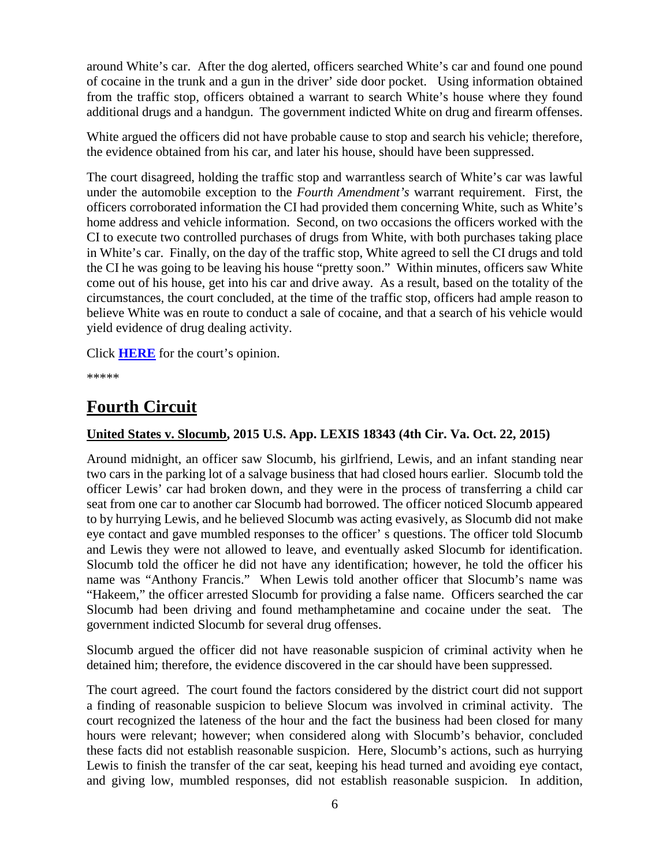around White's car. After the dog alerted, officers searched White's car and found one pound of cocaine in the trunk and a gun in the driver' side door pocket. Using information obtained from the traffic stop, officers obtained a warrant to search White's house where they found additional drugs and a handgun. The government indicted White on drug and firearm offenses.

White argued the officers did not have probable cause to stop and search his vehicle; therefore, the evidence obtained from his car, and later his house, should have been suppressed.

The court disagreed, holding the traffic stop and warrantless search of White's car was lawful under the automobile exception to the *Fourth Amendment's* warrant requirement. First, the officers corroborated information the CI had provided them concerning White, such as White's home address and vehicle information. Second, on two occasions the officers worked with the CI to execute two controlled purchases of drugs from White, with both purchases taking place in White's car. Finally, on the day of the traffic stop, White agreed to sell the CI drugs and told the CI he was going to be leaving his house "pretty soon." Within minutes, officers saw White come out of his house, get into his car and drive away. As a result, based on the totality of the circumstances, the court concluded, at the time of the traffic stop, officers had ample reason to believe White was en route to conduct a sale of cocaine, and that a search of his vehicle would yield evidence of drug dealing activity.

Click **[HERE](http://cases.justia.com/federal/appellate-courts/ca1/14-2165/14-2165-2015-10-20.pdf?ts=1445360406)** for the court's opinion.

\*\*\*\*\*

# <span id="page-5-0"></span>**Fourth Circuit**

### <span id="page-5-1"></span>**United States v. Slocumb, 2015 U.S. App. LEXIS 18343 (4th Cir. Va. Oct. 22, 2015)**

Around midnight, an officer saw Slocumb, his girlfriend, Lewis, and an infant standing near two cars in the parking lot of a salvage business that had closed hours earlier. Slocumb told the officer Lewis' car had broken down, and they were in the process of transferring a child car seat from one car to another car Slocumb had borrowed. The officer noticed Slocumb appeared to by hurrying Lewis, and he believed Slocumb was acting evasively, as Slocumb did not make eye contact and gave mumbled responses to the officer' s questions. The officer told Slocumb and Lewis they were not allowed to leave, and eventually asked Slocumb for identification. Slocumb told the officer he did not have any identification; however, he told the officer his name was "Anthony Francis." When Lewis told another officer that Slocumb's name was "Hakeem," the officer arrested Slocumb for providing a false name. Officers searched the car Slocumb had been driving and found methamphetamine and cocaine under the seat. The government indicted Slocumb for several drug offenses.

Slocumb argued the officer did not have reasonable suspicion of criminal activity when he detained him; therefore, the evidence discovered in the car should have been suppressed.

The court agreed. The court found the factors considered by the district court did not support a finding of reasonable suspicion to believe Slocum was involved in criminal activity. The court recognized the lateness of the hour and the fact the business had been closed for many hours were relevant; however; when considered along with Slocumb's behavior, concluded these facts did not establish reasonable suspicion. Here, Slocumb's actions, such as hurrying Lewis to finish the transfer of the car seat, keeping his head turned and avoiding eye contact, and giving low, mumbled responses, did not establish reasonable suspicion. In addition,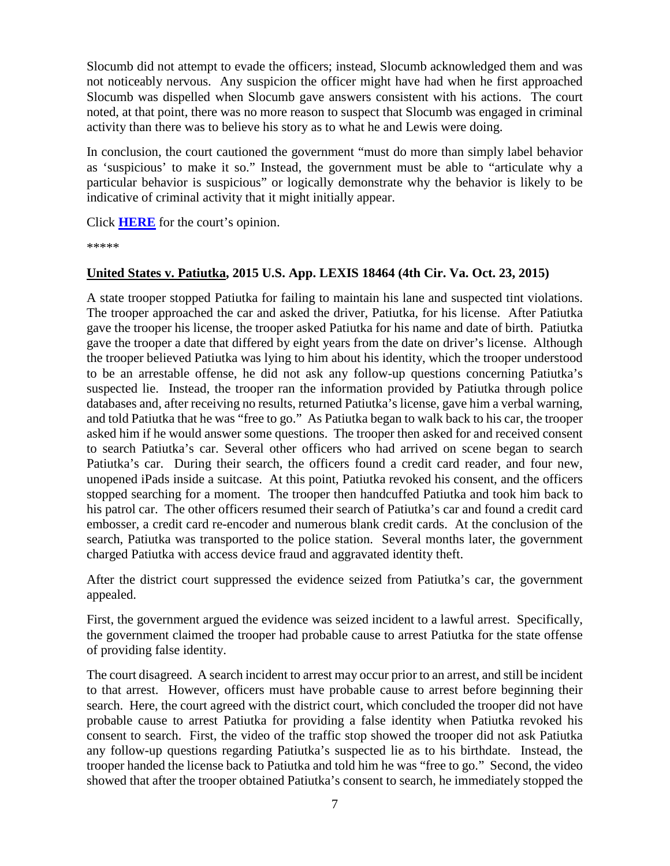Slocumb did not attempt to evade the officers; instead, Slocumb acknowledged them and was not noticeably nervous. Any suspicion the officer might have had when he first approached Slocumb was dispelled when Slocumb gave answers consistent with his actions. The court noted, at that point, there was no more reason to suspect that Slocumb was engaged in criminal activity than there was to believe his story as to what he and Lewis were doing.

In conclusion, the court cautioned the government "must do more than simply label behavior as 'suspicious' to make it so." Instead, the government must be able to "articulate why a particular behavior is suspicious" or logically demonstrate why the behavior is likely to be indicative of criminal activity that it might initially appear.

Click **[HERE](http://cases.justia.com/federal/appellate-courts/ca4/14-4733/14-4733-2015-10-22.pdf?ts=1445538690)** for the court's opinion.

\*\*\*\*\*

#### <span id="page-6-0"></span>**United States v. Patiutka, 2015 U.S. App. LEXIS 18464 (4th Cir. Va. Oct. 23, 2015)**

A state trooper stopped Patiutka for failing to maintain his lane and suspected tint violations. The trooper approached the car and asked the driver, Patiutka, for his license. After Patiutka gave the trooper his license, the trooper asked Patiutka for his name and date of birth. Patiutka gave the trooper a date that differed by eight years from the date on driver's license. Although the trooper believed Patiutka was lying to him about his identity, which the trooper understood to be an arrestable offense, he did not ask any follow-up questions concerning Patiutka's suspected lie. Instead, the trooper ran the information provided by Patiutka through police databases and, after receiving no results, returned Patiutka's license, gave him a verbal warning, and told Patiutka that he was "free to go." As Patiutka began to walk back to his car, the trooper asked him if he would answer some questions. The trooper then asked for and received consent to search Patiutka's car. Several other officers who had arrived on scene began to search Patiutka's car. During their search, the officers found a credit card reader, and four new, unopened iPads inside a suitcase. At this point, Patiutka revoked his consent, and the officers stopped searching for a moment. The trooper then handcuffed Patiutka and took him back to his patrol car. The other officers resumed their search of Patiutka's car and found a credit card embosser, a credit card re-encoder and numerous blank credit cards. At the conclusion of the search, Patiutka was transported to the police station. Several months later, the government charged Patiutka with access device fraud and aggravated identity theft.

After the district court suppressed the evidence seized from Patiutka's car, the government appealed.

First, the government argued the evidence was seized incident to a lawful arrest. Specifically, the government claimed the trooper had probable cause to arrest Patiutka for the state offense of providing false identity.

The court disagreed. A search incident to arrest may occur prior to an arrest, and still be incident to that arrest. However, officers must have probable cause to arrest before beginning their search. Here, the court agreed with the district court, which concluded the trooper did not have probable cause to arrest Patiutka for providing a false identity when Patiutka revoked his consent to search. First, the video of the traffic stop showed the trooper did not ask Patiutka any follow-up questions regarding Patiutka's suspected lie as to his birthdate. Instead, the trooper handed the license back to Patiutka and told him he was "free to go." Second, the video showed that after the trooper obtained Patiutka's consent to search, he immediately stopped the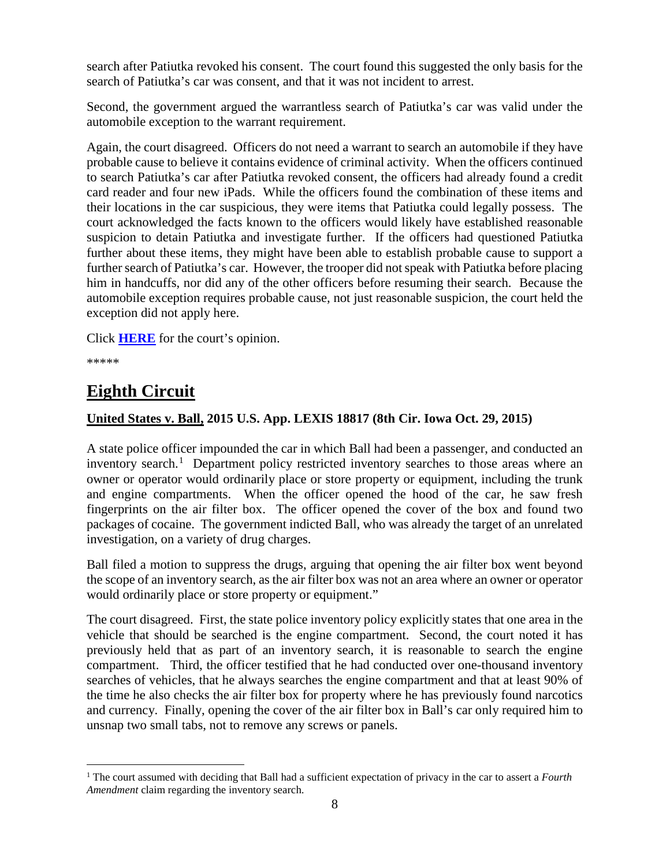search after Patiutka revoked his consent. The court found this suggested the only basis for the search of Patiutka's car was consent, and that it was not incident to arrest.

Second, the government argued the warrantless search of Patiutka's car was valid under the automobile exception to the warrant requirement.

Again, the court disagreed. Officers do not need a warrant to search an automobile if they have probable cause to believe it contains evidence of criminal activity. When the officers continued to search Patiutka's car after Patiutka revoked consent, the officers had already found a credit card reader and four new iPads. While the officers found the combination of these items and their locations in the car suspicious, they were items that Patiutka could legally possess. The court acknowledged the facts known to the officers would likely have established reasonable suspicion to detain Patiutka and investigate further. If the officers had questioned Patiutka further about these items, they might have been able to establish probable cause to support a further search of Patiutka's car. However, the trooper did not speak with Patiutka before placing him in handcuffs, nor did any of the other officers before resuming their search. Because the automobile exception requires probable cause, not just reasonable suspicion, the court held the exception did not apply here.

Click **[HERE](http://cases.justia.com/federal/appellate-courts/ca4/14-4932/14-4932-2015-10-23.pdf?ts=1445625116)** for the court's opinion.

\*\*\*\*\*

### <span id="page-7-0"></span>**Eighth Circuit**

### <span id="page-7-1"></span>**United States v. Ball, 2015 U.S. App. LEXIS 18817 (8th Cir. Iowa Oct. 29, 2015)**

A state police officer impounded the car in which Ball had been a passenger, and conducted an inventory search.<sup>[1](#page-7-2)</sup> Department policy restricted inventory searches to those areas where an owner or operator would ordinarily place or store property or equipment, including the trunk and engine compartments. When the officer opened the hood of the car, he saw fresh fingerprints on the air filter box. The officer opened the cover of the box and found two packages of cocaine. The government indicted Ball, who was already the target of an unrelated investigation, on a variety of drug charges.

Ball filed a motion to suppress the drugs, arguing that opening the air filter box went beyond the scope of an inventory search, as the air filter box was not an area where an owner or operator would ordinarily place or store property or equipment."

The court disagreed. First, the state police inventory policy explicitly states that one area in the vehicle that should be searched is the engine compartment. Second, the court noted it has previously held that as part of an inventory search, it is reasonable to search the engine compartment. Third, the officer testified that he had conducted over one-thousand inventory searches of vehicles, that he always searches the engine compartment and that at least 90% of the time he also checks the air filter box for property where he has previously found narcotics and currency. Finally, opening the cover of the air filter box in Ball's car only required him to unsnap two small tabs, not to remove any screws or panels.

<span id="page-7-2"></span> <sup>1</sup> The court assumed with deciding that Ball had a sufficient expectation of privacy in the car to assert a *Fourth Amendment* claim regarding the inventory search.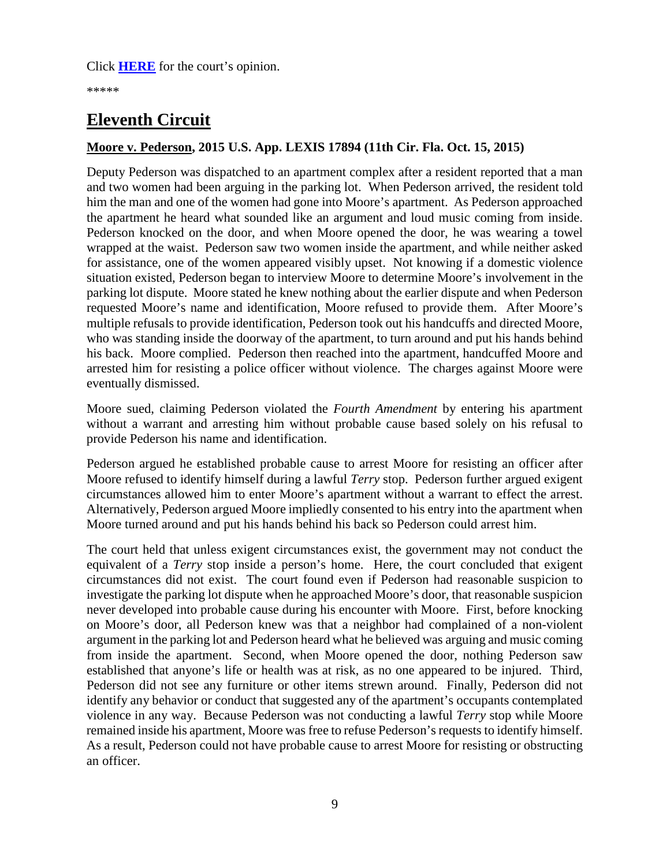\*\*\*\*\*

# <span id="page-8-0"></span>**Eleventh Circuit**

### <span id="page-8-1"></span>**Moore v. Pederson, 2015 U.S. App. LEXIS 17894 (11th Cir. Fla. Oct. 15, 2015)**

Deputy Pederson was dispatched to an apartment complex after a resident reported that a man and two women had been arguing in the parking lot. When Pederson arrived, the resident told him the man and one of the women had gone into Moore's apartment. As Pederson approached the apartment he heard what sounded like an argument and loud music coming from inside. Pederson knocked on the door, and when Moore opened the door, he was wearing a towel wrapped at the waist. Pederson saw two women inside the apartment, and while neither asked for assistance, one of the women appeared visibly upset. Not knowing if a domestic violence situation existed, Pederson began to interview Moore to determine Moore's involvement in the parking lot dispute. Moore stated he knew nothing about the earlier dispute and when Pederson requested Moore's name and identification, Moore refused to provide them. After Moore's multiple refusals to provide identification, Pederson took out his handcuffs and directed Moore, who was standing inside the doorway of the apartment, to turn around and put his hands behind his back. Moore complied. Pederson then reached into the apartment, handcuffed Moore and arrested him for resisting a police officer without violence. The charges against Moore were eventually dismissed.

Moore sued, claiming Pederson violated the *Fourth Amendment* by entering his apartment without a warrant and arresting him without probable cause based solely on his refusal to provide Pederson his name and identification.

Pederson argued he established probable cause to arrest Moore for resisting an officer after Moore refused to identify himself during a lawful *Terry* stop. Pederson further argued exigent circumstances allowed him to enter Moore's apartment without a warrant to effect the arrest. Alternatively, Pederson argued Moore impliedly consented to his entry into the apartment when Moore turned around and put his hands behind his back so Pederson could arrest him.

The court held that unless exigent circumstances exist, the government may not conduct the equivalent of a *Terry* stop inside a person's home. Here, the court concluded that exigent circumstances did not exist. The court found even if Pederson had reasonable suspicion to investigate the parking lot dispute when he approached Moore's door, that reasonable suspicion never developed into probable cause during his encounter with Moore. First, before knocking on Moore's door, all Pederson knew was that a neighbor had complained of a non-violent argument in the parking lot and Pederson heard what he believed was arguing and music coming from inside the apartment. Second, when Moore opened the door, nothing Pederson saw established that anyone's life or health was at risk, as no one appeared to be injured. Third, Pederson did not see any furniture or other items strewn around. Finally, Pederson did not identify any behavior or conduct that suggested any of the apartment's occupants contemplated violence in any way. Because Pederson was not conducting a lawful *Terry* stop while Moore remained inside his apartment, Moore was free to refuse Pederson's requests to identify himself. As a result, Pederson could not have probable cause to arrest Moore for resisting or obstructing an officer.